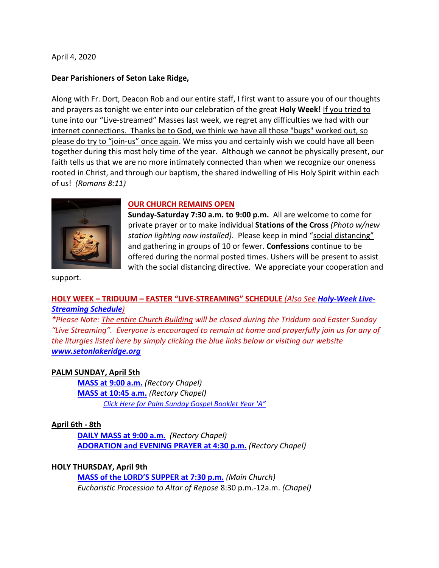April 4, 2020

### **Dear Parishioners of Seton Lake Ridge,**

Along with Fr. Dort, Deacon Rob and our entire staff, I first want to assure you of our thoughts and prayers as tonight we enter into our celebration of the great **Holy Week!** If you tried to tune into our "Live-streamed" Masses last week, we regret any difficulties we had with our internet connections. Thanks be to God, we think we have all those "bugs" worked out, so please do try to "join-us" once again. We miss you and certainly wish we could have all been together during this most holy time of the year. Although we cannot be physically present, our faith tells us that we are no more intimately connected than when we recognize our oneness rooted in Christ, and through our baptism, the shared indwelling of His Holy Spirit within each of us! *(Romans 8:11)*



### **OUR CHURCH REMAINS OPEN**

**Sunday-Saturday 7:30 a.m. to 9:00 p.m.** All are welcome to come for private prayer or to make individual **Stations of the Cross** *(Photo w/new station lighting now installed)*. Please keep in mind "social distancing" and gathering in groups of 10 or fewer. **Confessions** continue to be offered during the normal posted times. Ushers will be present to assist with the social distancing directive. We appreciate your cooperation and

support.

# **HOLY WEEK – TRIDUUM – EASTER "LIVE-STREAMING" SCHEDULE** *(Also See Holy-Week Live-Streaming Schedule)*

*\*Please Note: The entire Church Building will be closed during the Triddum and Easter Sunday "Live Streaming". Everyone is encouraged to remain at home and prayerfully join us for any of the liturgies listed here by simply clicking the blue links below or visiting our website www.setonlakeridge.org*

# **PALM SUNDAY, April 5th**

**MASS at 9:00 a.m.** *(Rectory Chapel)* **MASS at 10:45 a.m.** *(Rectory Chapel) Click Here for Palm Sunday Gospel Booklet Year 'A"*

# **April 6th - 8th**

**DAILY MASS at 9:00 a.m.** *(Rectory Chapel)* **ADORATION and EVENING PRAYER at 4:30 p.m.** *(Rectory Chapel)*

# **HOLY THURSDAY, April 9th**

**MASS of the LORD'S SUPPER at 7:30 p.m.** *(Main Church) Eucharistic Procession to Altar of Repose* 8:30 p.m.-12a.m. *(Chapel)*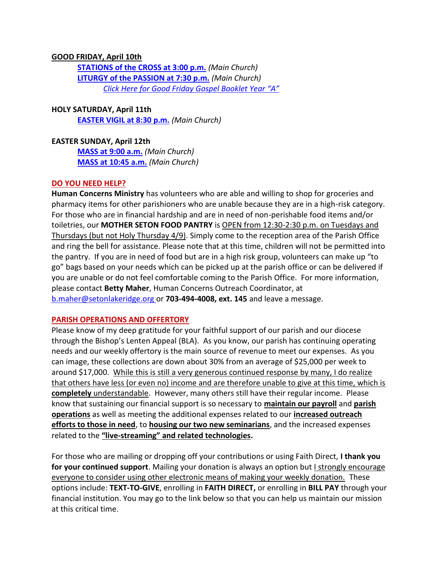### **GOOD FRIDAY, April 10th**

**STATIONS of the CROSS at 3:00 p.m.** *(Main Church)* **LITURGY of the PASSION at 7:30 p.m.** *(Main Church) Click Here for Good Friday Gospel Booklet Year "A"*

# **HOLY SATURDAY, April 11th**

**EASTER VIGIL at 8:30 p.m.** *(Main Church)*

## **EASTER SUNDAY, April 12th**

**MASS at 9:00 a.m.** *(Main Church)* **MASS at 10:45 a.m.** *(Main Church)*

## **DO YOU NEED HELP?**

**Human Concerns Ministry** has volunteers who are able and willing to shop for groceries and pharmacy items for other parishioners who are unable because they are in a high-risk category. For those who are in financial hardship and are in need of non-perishable food items and/or toiletries, our **MOTHER SETON FOOD PANTRY** is OPEN from 12:30-2:30 p.m. on Tuesdays and Thursdays (but not Holy Thursday 4/9). Simply come to the reception area of the Parish Office and ring the bell for assistance. Please note that at this time, children will not be permitted into the pantry. If you are in need of food but are in a high risk group, volunteers can make up "to go" bags based on your needs which can be picked up at the parish office or can be delivered if you are unable or do not feel comfortable coming to the Parish Office. For more information, please contact **Betty Maher**, Human Concerns Outreach Coordinator, at b.maher@setonlakeridge.org or **703-494-4008, ext. 145** and leave a message.

### **PARISH OPERATIONS AND OFFERTORY**

Please know of my deep gratitude for your faithful support of our parish and our diocese through the Bishop's Lenten Appeal (BLA). As you know, our parish has continuing operating needs and our weekly offertory is the main source of revenue to meet our expenses. As you can image, these collections are down about 30% from an average of \$25,000 per week to around \$17,000. While this is still a very generous continued response by many, I do realize that others have less (or even no) income and are therefore unable to give at this time, which is **completely** understandable. However, many others still have their regular income. Please know that sustaining our financial support is so necessary to **maintain our payroll** and **parish operations** as well as meeting the additional expenses related to our **increased outreach efforts to those in need**, to **housing our two new seminarians**, and the increased expenses related to the **"live-streaming" and related technologies.**

For those who are mailing or dropping off your contributions or using Faith Direct, **I thank you for your continued support**. Mailing your donation is always an option but *I strongly encourage* everyone to consider using other electronic means of making your weekly donation. These options include: **TEXT-TO-GIVE**, enrolling in **FAITH DIRECT,** or enrolling in **BILL PAY** through your financial institution. You may go to the link below so that you can help us maintain our mission at this critical time.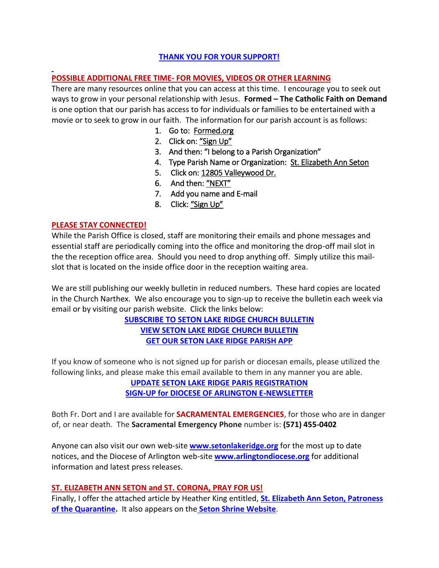# **THANK YOU FOR YOUR SUPPORT!**

## **POSSIBLE ADDITIONAL FREE TIME- FOR MOVIES, VIDEOS OR OTHER LEARNING**

There are many resources online that you can access at this time. I encourage you to seek out ways to grow in your personal relationship with Jesus. **Formed – The Catholic Faith on Demand** is one option that our parish has access to for individuals or families to be entertained with a movie or to seek to grow in our faith. The information for our parish account is as follows:

- 1. Go to: Formed.org
- 2. Click on: "Sign Up"
- 3. And then: "I belong to a Parish Organization"
- 4. Type Parish Name or Organization: St. Elizabeth Ann Seton
- 5. Click on: 12805 Valleywood Dr.
- 6. And then: "NEXT"
- 7. Add you name and E-mail
- 8. Click: "Sign Up"

### **PLEASE STAY CONNECTED!**

While the Parish Office is closed, staff are monitoring their emails and phone messages and essential staff are periodically coming into the office and monitoring the drop-off mail slot in the the reception office area. Should you need to drop anything off. Simply utilize this mailslot that is located on the inside office door in the reception waiting area.

We are still publishing our weekly bulletin in reduced numbers. These hard copies are located in the Church Narthex. We also encourage you to sign-up to receive the bulletin each week via email or by visiting our parish website. Click the links below:

> **SUBSCRIBE TO SETON LAKE RIDGE CHURCH BULLETIN VIEW SETON LAKE RIDGE CHURCH BULLETIN GET OUR SETON LAKE RIDGE PARISH APP**

If you know of someone who is not signed up for parish or diocesan emails, please utilized the following links, and please make this email available to them in any manner you are able.

> **UPDATE SETON LAKE RIDGE PARIS REGISTRATION SIGN-UP for DIOCESE OF ARLINGTON E-NEWSLETTER**

Both Fr. Dort and I are available for **SACRAMENTAL EMERGENCIES**, for those who are in danger of, or near death. The **Sacramental Emergency Phone** number is: **(571) 455-0402**

Anyone can also visit our own web-site **www.setonlakeridge.org** for the most up to date notices, and the Diocese of Arlington web-site **www.arlingtondiocese.org** for additional information and latest press releases.

### **ST. ELIZABETH ANN SETON and ST. CORONA, PRAY FOR US!**

Finally, I offer the attached article by Heather King entitled, **St. Elizabeth Ann Seton, Patroness of the Quarantine.** It also appears on the **Seton Shrine Website**.